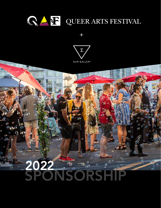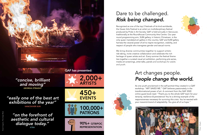*"on the forefront of aesthetic and cultural dialogue today." XTRA*



QAF has presented:

## Dare to be challenged. *Risk being changed.*

Recognized as one of the top 2 festivals of its kind worldwide, the Queer Arts Festival is an artist run multidisciplinary festival produced by Pride in Art Society. QAF is held annually in Vancouver, traditionally at the Roundhouse Community Arts Centre. Our year round programming arm, SUM gallery, in historic Chinatown, is the only queer mandated art gallery in the country. QAF and SUM gallery harness the visceral power of art to inspire recognition, visibility, and respect of people who transgress gender and sexual norms.

We bring diverse communities together to support artistic risk-taking, incite creative collaboration and celebrate the rich heritage of queer artists and art. Every summer the festival theme ties together a curated visual art exhibition, performing arts series, media art screenings, artist talks, panels and workshops for adults and youth.

### Art changes people. *People change the world.*

As one youth proclaimed in the self-portrait they created in a QAF workshop: "ART SAVED ME." QAF believes passionately in the transformational power of art. A comment from the QAF 2020 online guest book read: *"Thank you to the whole QAF team for your tenacity, resilience & persistence! You're a shining example of the responsiveness necessary for surviving this crisis. You've reacted with your maverick brand of adaptability. You give all of us hope."*

*"concise, brilliant and moving" GEORGIA STRAIGHT*

*"easily one of the best art exhibitions of the year"*

*VANCOUVER SUN*









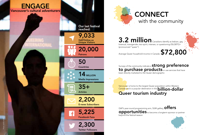# with the community

## Surveys of the community indicate a strong preference<br>to purchase products or use services that have



3.2 million Canadians identify as lesbian, gay, bisexual, transgender, two-spirit, intersex, or questioning-2SLGBTQ+ (pronounced "queer")

Average Queer household income in Canada: \$72,800

QAF's year-round programming arm, SUM gallery,  $\text{offers}$ opportunities to become a longterm sponsor or partner beyond the festival season

been directly marketed to the Queer demographic

Vancouver is home to the largest Queer population within Western Canada and is a popular destination in the **billion-dollar** Queer tourism industry



**CONNECT**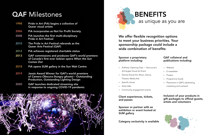

# as unique as you are

We offer flexible recognition options to meet your business priorities. Your sponsorship package could include a wide combination of benefits:

#### Sponsor a proprietary platform including:

- » ArtParty! Opening Gala Vancouver's 3rd largest Visual Art Event
- » Genres (Visual Art, Music, Dance, Theatre, Media Art)
- » Specific shows
- » Artist talks
- » Community engagement events

Client experiences, tickets, and passes

Sponsor or partner with an exhibition or event hosted at SUM gallery

#### QAF collateral and publications including:

» Website

- » E-newsletter
- » Posters
- » Programme Guide
- » Placement in QAF's advertising, marketing and outreach

Inclusion of your products in gift packages to official guests, artists and volunteers



Category exclusivity is available

## **QAF Milestones**

| 1998 | Pride in Art (PiA) begins a collective of<br><b>Queer visual artists</b>                                                                          |
|------|---------------------------------------------------------------------------------------------------------------------------------------------------|
| 2006 | PiA incorporates as Not for Profit Society                                                                                                        |
| 2008 | PiA launches the first multi-disciplinary<br><b>Pride in Art Festival</b>                                                                         |
| 2010 | The Pride in Art Festival rebrands as the<br><b>Queer Arts Festival (QAF)</b>                                                                     |
| 2012 | PiA achieves registered charitable status                                                                                                         |
| 2013 | <b>QAF commissions and produces QAF's world premiere</b><br>of Canada's first ever lesbian opera When the Sun<br><b>Comes Out</b>                 |
| 2018 | PiA opens SUM gallery in the Sun Wah Centre                                                                                                       |
| 2019 | Jessie Award Winner for QAF's world premiere<br>of Camera Obscura (hungry ghosts) - Outstanding<br><b>Production, Outstanding Lighting Design</b> |

2020 QAF launches dedicated streaming site in response to ongoing COVID-19 pandemic